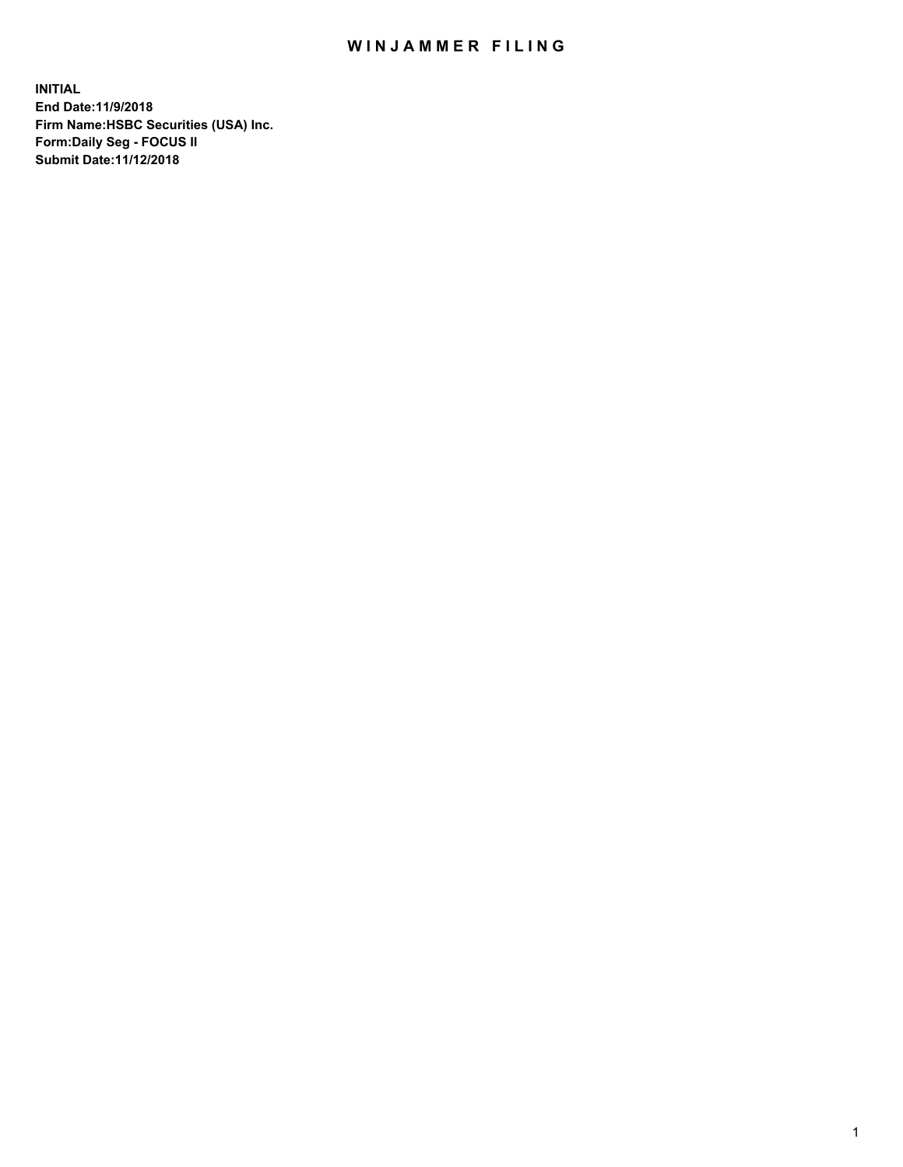## WIN JAMMER FILING

**INITIAL End Date:11/9/2018 Firm Name:HSBC Securities (USA) Inc. Form:Daily Seg - FOCUS II Submit Date:11/12/2018**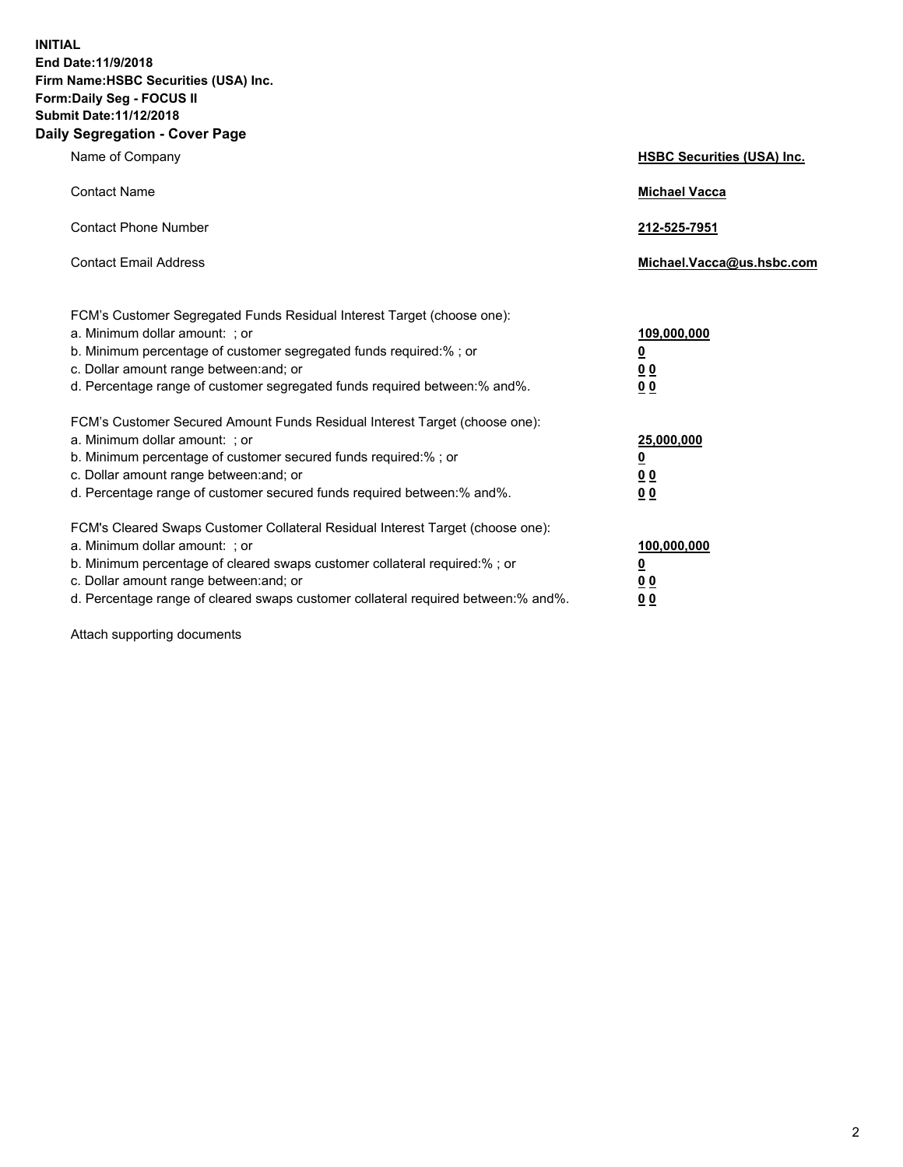**INITIAL End Date:11/9/2018 Firm Name:HSBC Securities (USA) Inc. Form:Daily Seg - FOCUS II Submit Date:11/12/2018 Daily Segregation - Cover Page**

| Name of Company                                                                                                                                                                                                                                                                                                                | <b>HSBC Securities (USA) Inc.</b>                           |
|--------------------------------------------------------------------------------------------------------------------------------------------------------------------------------------------------------------------------------------------------------------------------------------------------------------------------------|-------------------------------------------------------------|
| <b>Contact Name</b>                                                                                                                                                                                                                                                                                                            | <b>Michael Vacca</b>                                        |
| <b>Contact Phone Number</b>                                                                                                                                                                                                                                                                                                    | 212-525-7951                                                |
| <b>Contact Email Address</b>                                                                                                                                                                                                                                                                                                   | Michael.Vacca@us.hsbc.com                                   |
| FCM's Customer Segregated Funds Residual Interest Target (choose one):<br>a. Minimum dollar amount: ; or<br>b. Minimum percentage of customer segregated funds required:% ; or<br>c. Dollar amount range between: and; or<br>d. Percentage range of customer segregated funds required between:% and%.                         | 109,000,000<br><u>0</u><br>0 <sub>0</sub><br>0 <sub>0</sub> |
| FCM's Customer Secured Amount Funds Residual Interest Target (choose one):<br>a. Minimum dollar amount: ; or<br>b. Minimum percentage of customer secured funds required:% ; or<br>c. Dollar amount range between: and; or<br>d. Percentage range of customer secured funds required between: % and %.                         | 25,000,000<br><u>0</u><br>0 <sub>0</sub><br>0 <sub>0</sub>  |
| FCM's Cleared Swaps Customer Collateral Residual Interest Target (choose one):<br>a. Minimum dollar amount: ; or<br>b. Minimum percentage of cleared swaps customer collateral required:% ; or<br>c. Dollar amount range between: and; or<br>d. Percentage range of cleared swaps customer collateral required between:% and%. | 100,000,000<br><u>0</u><br>0 <sub>0</sub><br>00             |

Attach supporting documents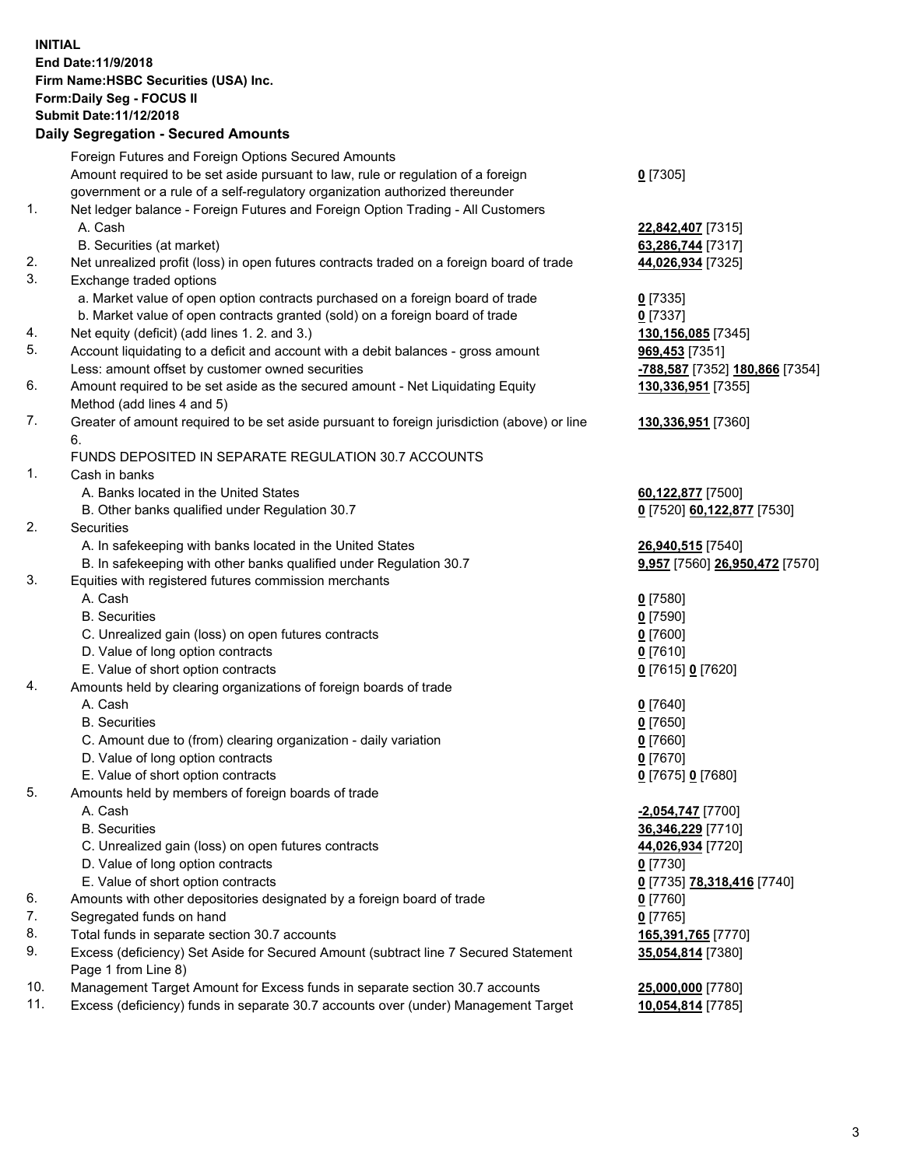**INITIAL End Date:11/9/2018 Firm Name:HSBC Securities (USA) Inc. Form:Daily Seg - FOCUS II Submit Date:11/12/2018 Daily Segregation - Secured Amounts**

## Foreign Futures and Foreign Options Secured Amounts Amount required to be set aside pursuant to law, rule or regulation of a foreign government or a rule of a self-regulatory organization authorized thereunder **0** [7305] 1. Net ledger balance - Foreign Futures and Foreign Option Trading - All Customers A. Cash **22,842,407** [7315] B. Securities (at market) **63,286,744** [7317] 2. Net unrealized profit (loss) in open futures contracts traded on a foreign board of trade **44,026,934** [7325] 3. Exchange traded options a. Market value of open option contracts purchased on a foreign board of trade **0** [7335] b. Market value of open contracts granted (sold) on a foreign board of trade **0** [7337] 4. Net equity (deficit) (add lines 1. 2. and 3.) **130,156,085** [7345] 5. Account liquidating to a deficit and account with a debit balances - gross amount **969,453** [7351] Less: amount offset by customer owned securities **-788,587** [7352] **180,866** [7354] 6. Amount required to be set aside as the secured amount - Net Liquidating Equity Method (add lines 4 and 5) **130,336,951** [7355] 7. Greater of amount required to be set aside pursuant to foreign jurisdiction (above) or line 6. **130,336,951** [7360] FUNDS DEPOSITED IN SEPARATE REGULATION 30.7 ACCOUNTS 1. Cash in banks A. Banks located in the United States **60,122,877** [7500] B. Other banks qualified under Regulation 30.7 **0** [7520] **60,122,877** [7530] 2. Securities A. In safekeeping with banks located in the United States **26,940,515** [7540] B. In safekeeping with other banks qualified under Regulation 30.7 **9,957** [7560] **26,950,472** [7570] 3. Equities with registered futures commission merchants A. Cash **0** [7580] B. Securities **0** [7590] C. Unrealized gain (loss) on open futures contracts **0** [7600] D. Value of long option contracts **0** [7610] E. Value of short option contracts **0** [7615] **0** [7620] 4. Amounts held by clearing organizations of foreign boards of trade A. Cash **0** [7640] B. Securities **0** [7650] C. Amount due to (from) clearing organization - daily variation **0** [7660] D. Value of long option contracts **0** [7670] E. Value of short option contracts **0** [7675] **0** [7680] 5. Amounts held by members of foreign boards of trade A. Cash **-2,054,747** [7700] B. Securities **36,346,229** [7710] C. Unrealized gain (loss) on open futures contracts **44,026,934** [7720] D. Value of long option contracts **0** [7730] E. Value of short option contracts **0** [7735] **78,318,416** [7740] 6. Amounts with other depositories designated by a foreign board of trade **0** [7760] 7. Segregated funds on hand **0** [7765] 8. Total funds in separate section 30.7 accounts **165,391,765** [7770] 9. Excess (deficiency) Set Aside for Secured Amount (subtract line 7 Secured Statement Page 1 from Line 8) **35,054,814** [7380] 10. Management Target Amount for Excess funds in separate section 30.7 accounts **25,000,000** [7780] 11. Excess (deficiency) funds in separate 30.7 accounts over (under) Management Target **10,054,814** [7785]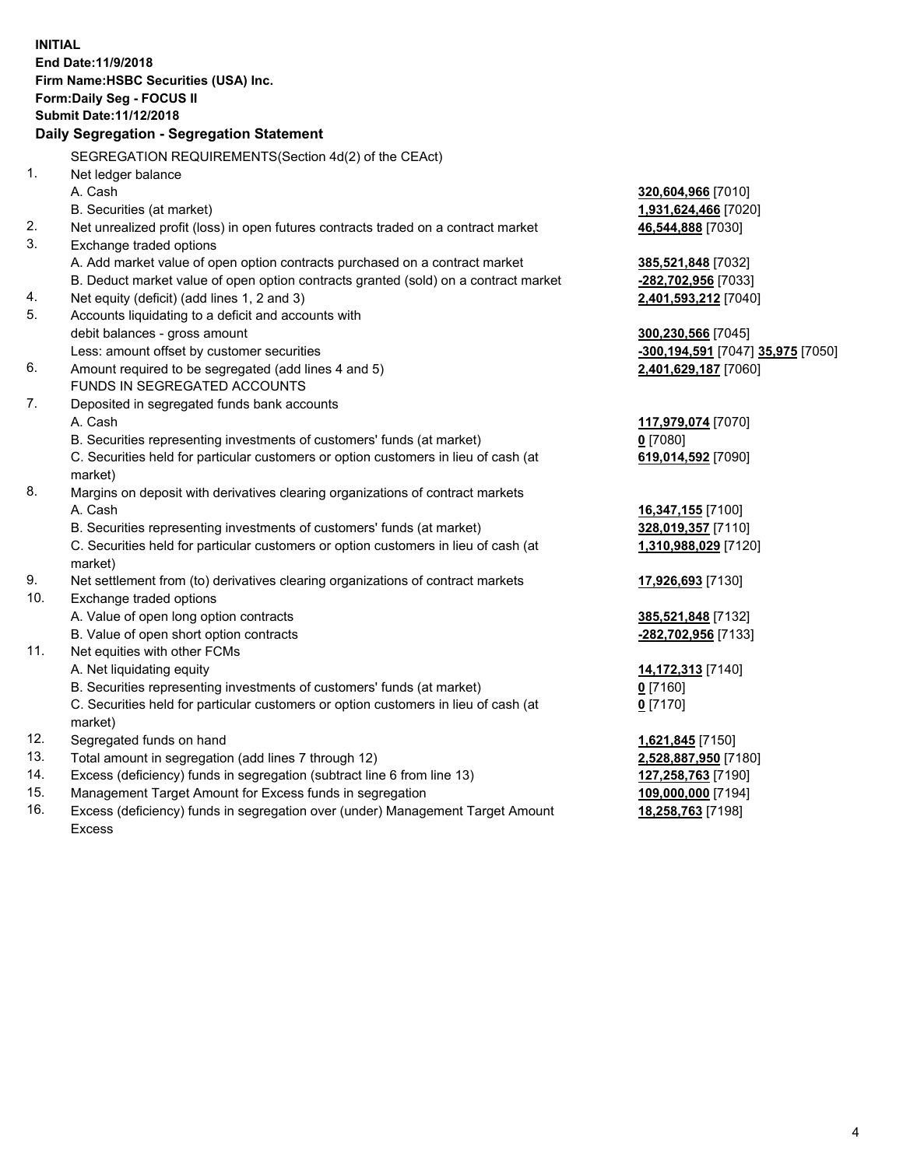**INITIAL End Date:11/9/2018 Firm Name:HSBC Securities (USA) Inc. Form:Daily Seg - FOCUS II Submit Date:11/12/2018 Daily Segregation - Segregation Statement** SEGREGATION REQUIREMENTS(Section 4d(2) of the CEAct) 1. Net ledger balance A. Cash **320,604,966** [7010] B. Securities (at market) **1,931,624,466** [7020] 2. Net unrealized profit (loss) in open futures contracts traded on a contract market **46,544,888** [7030] 3. Exchange traded options A. Add market value of open option contracts purchased on a contract market **385,521,848** [7032] B. Deduct market value of open option contracts granted (sold) on a contract market **-282,702,956** [7033] 4. Net equity (deficit) (add lines 1, 2 and 3) **2,401,593,212** [7040] 5. Accounts liquidating to a deficit and accounts with debit balances - gross amount **300,230,566** [7045] Less: amount offset by customer securities **-300,194,591** [7047] **35,975** [7050] 6. Amount required to be segregated (add lines 4 and 5) **2,401,629,187** [7060] FUNDS IN SEGREGATED ACCOUNTS 7. Deposited in segregated funds bank accounts A. Cash **117,979,074** [7070] B. Securities representing investments of customers' funds (at market) **0** [7080] C. Securities held for particular customers or option customers in lieu of cash (at market) **619,014,592** [7090] 8. Margins on deposit with derivatives clearing organizations of contract markets A. Cash **16,347,155** [7100] B. Securities representing investments of customers' funds (at market) **328,019,357** [7110] C. Securities held for particular customers or option customers in lieu of cash (at market) **1,310,988,029** [7120] 9. Net settlement from (to) derivatives clearing organizations of contract markets **17,926,693** [7130] 10. Exchange traded options A. Value of open long option contracts **385,521,848** [7132] B. Value of open short option contracts **-282,702,956** [7133] 11. Net equities with other FCMs A. Net liquidating equity **14,172,313** [7140] B. Securities representing investments of customers' funds (at market) **0** [7160] C. Securities held for particular customers or option customers in lieu of cash (at market) **0** [7170] 12. Segregated funds on hand **1,621,845** [7150] 13. Total amount in segregation (add lines 7 through 12) **2,528,887,950** [7180] 14. Excess (deficiency) funds in segregation (subtract line 6 from line 13) **127,258,763** [7190] 15. Management Target Amount for Excess funds in segregation **109,000,000** [7194] 16. Excess (deficiency) funds in segregation over (under) Management Target Amount **18,258,763** [7198]

Excess